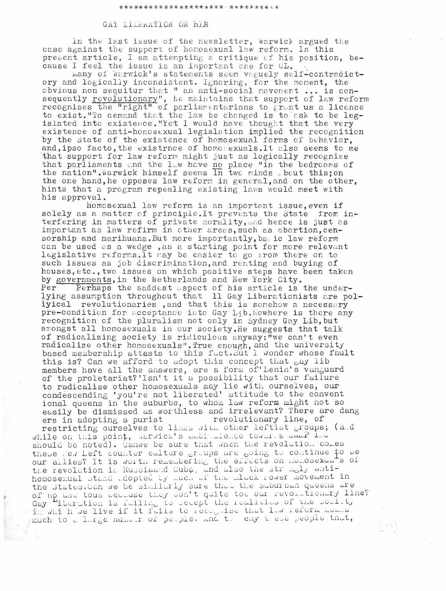## GAY LIDERATION ON HER

In the last issue of the newsletter, Warwick argued the case against the support of homosexual law reform. In this present article, I am attempting a critique of his position, because I feel the issue is an important one for  $0L$ .

many of Warwick's statements seem vaguely self-contradictory and logically inconsistent. Ignoring, for the moment, the obvious non sequitur that " an anti-social movement ... is consequently revolutionary", he maintains that support of law reform recognises the "right" of parliamentarians to grant us a licence to exist. "To demand that the law be changed is to ask to be leg-<br>islated into existence. "Yet I would have thought that the very<br>existence of anti-homosexual legislation implied the recognition by the State of the existence of homosexual forms of behavior, and, ipso facto, the existrnce of homosexuals. It also seems to me that support for law reform might just as logically recognize that parliaments and the law have no place "in the bedrooms of the nation". Warwick himself seems in two minds about this; on the one hand, he opposes law reform in general, and on the other, hints that a program repealing existing laws would meet with his approval.

Homosexual law reform is an important issue, even if solely as a matter of principle. It prevents the State from interfering in matters of private morality, and hence is just as important as law refirm in other areas, such as abortion, censorship and marihuana. But more importantly, battle law reform can be used as a wedge, as a starting point for more relevant legislative reforms. It way be easier to go from there on to such issues as job discrimination, and renting and buying of houses, etc., two issues on which positive steps have been taken by governments, in the Netherlands and New York City.<br>Per Perhaps the saddest aspect of his article is the under-<br>lying assumption throughout that 11 Gay Liberationists are polivical revolutionaries, and that this is somehow a necessary pre-condition for acceptance into Gay Lib. Nowhere is there any recognition of the pluralism not only in Sydney Gay Lib, but amongst all homosexuals in our society. He suggests that talk of radicalizing society is ridiculous anyway: "we can't even radicalize other homosexuals". True enough, and the university based membership attasts to this fact. But I wonder whose fault this is? Can we afford to adopt this concept that say lib members have all the answers, are a form of Lenin's vanguard<br>of the proletariat?'Isn't it a possibility that our failure to radicalise other homosexuals may lie with ourselves, our condescending 'you're not liberated' attitude to the convent ional queens in the suburbs, to whom law reform might not so easily be dismissed as worthless and irrelevant? There are dang ers in adopting a purist revolutionary line, of restricting ourselves to links with other leftist groups; (and while on this point, warwick's ambigatence towards JAMP Ind should be noted). Canwe be sure that when the revolution comes these few Left counter culture groups are going to continue to be our allies? It is worth remembering the effects on nomosexuats of the revolution in Russiaand Cuba, and also the strangly antihomosexual stand adopted by much of the slack rower movement in the States. Can we be similarly sure that the suburban queens are of no use tous because they don't quite toe our revolutionary line? Gay iberation is fulling to usept the realities of the boulety<br>is which we live if it fails to recognise that law reform means

្យន